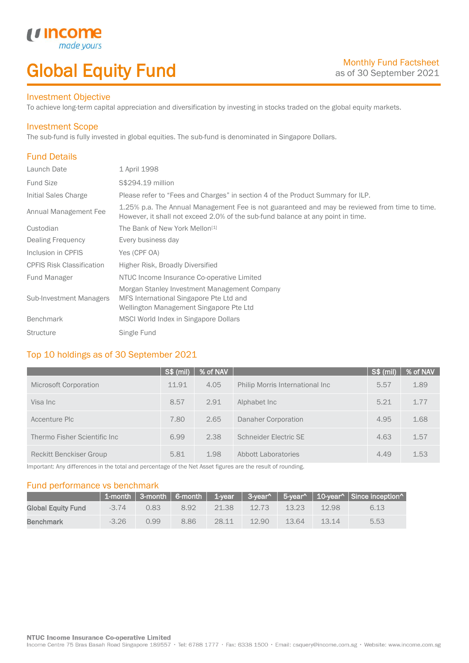# Global Equity Fund

#### Investment Objective

made y

u Incom

To achieve long-term capital appreciation and diversification by investing in stocks traded on the global equity markets.

#### Investment Scope

The sub-fund is fully invested in global equities. The sub-fund is denominated in Singapore Dollars.

# Fund Details

I

| Launch Date                      | 1 April 1998                                                                                                                                                                     |
|----------------------------------|----------------------------------------------------------------------------------------------------------------------------------------------------------------------------------|
| <b>Fund Size</b>                 | S\$294.19 million                                                                                                                                                                |
| Initial Sales Charge             | Please refer to "Fees and Charges" in section 4 of the Product Summary for ILP.                                                                                                  |
| Annual Management Fee            | 1.25% p.a. The Annual Management Fee is not guaranteed and may be reviewed from time to time.<br>However, it shall not exceed 2.0% of the sub-fund balance at any point in time. |
| Custodian                        | The Bank of New York Mellon <sup>[1]</sup>                                                                                                                                       |
| Dealing Frequency                | Every business day                                                                                                                                                               |
| Inclusion in CPFIS               | Yes (CPF OA)                                                                                                                                                                     |
| <b>CPFIS Risk Classification</b> | Higher Risk, Broadly Diversified                                                                                                                                                 |
| <b>Fund Manager</b>              | NTUC Income Insurance Co-operative Limited                                                                                                                                       |
| <b>Sub-Investment Managers</b>   | Morgan Stanley Investment Management Company<br>MFS International Singapore Pte Ltd and<br>Wellington Management Singapore Pte Ltd                                               |
| <b>Benchmark</b>                 | MSCI World Index in Singapore Dollars                                                                                                                                            |
| <b>Structure</b>                 | Single Fund                                                                                                                                                                      |

# Top 10 holdings as of 30 September 2021

|                              | $S$ \$ (mil) | % of NAV |                                 | $S$ \$ (mil) | % of NAV |
|------------------------------|--------------|----------|---------------------------------|--------------|----------|
| Microsoft Corporation        | 11.91        | 4.05     | Philip Morris International Inc | 5.57         | 1.89     |
| Visa Inc                     | 8.57         | 2.91     | Alphabet Inc                    | 5.21         | 1.77     |
| Accenture Plc                | 7.80         | 2.65     | Danaher Corporation             | 4.95         | 1.68     |
| Thermo Fisher Scientific Inc | 6.99         | 2.38     | Schneider Electric SE           | 4.63         | 1.57     |
| Reckitt Benckiser Group      | 5.81         | 1.98     | Abbott Laboratories             | 4.49         | 1.53     |

Important: Any differences in the total and percentage of the Net Asset figures are the result of rounding.

#### Fund performance vs benchmark

|                           |         |      |      |       |       |       |       | 1-month   3-month   6-month   1-year   3-year^   5-year^   10-year^   Since inception^ |
|---------------------------|---------|------|------|-------|-------|-------|-------|----------------------------------------------------------------------------------------|
| <b>Global Equity Fund</b> | $-374$  | 0.83 | 8.92 | 21.38 | 12.73 | 13.23 | 12.98 | 6.13                                                                                   |
| <b>Benchmark</b>          | $-3.26$ | 0.99 | 8.86 | 28 11 | 12.90 | 13.64 | 13.14 | 5.53                                                                                   |